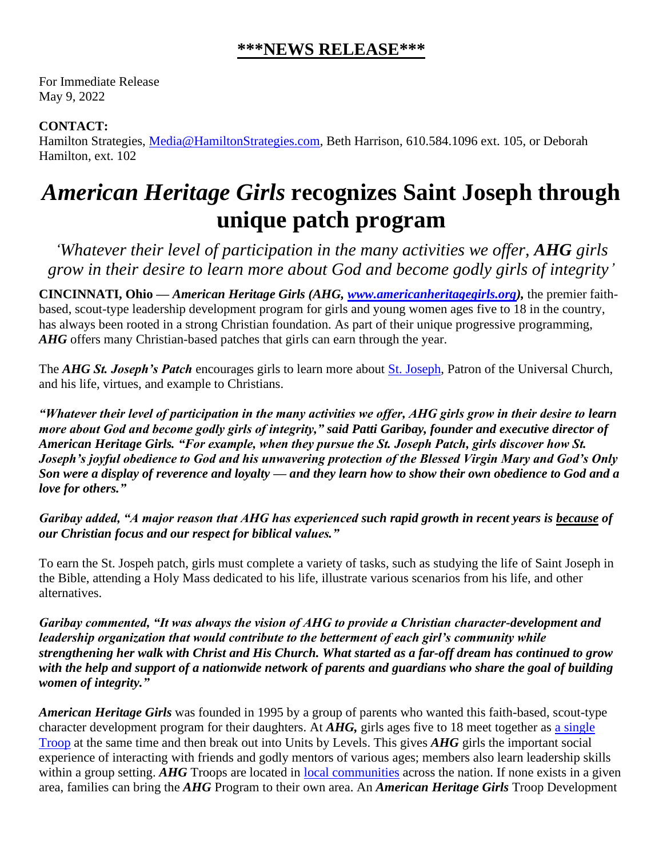## **\*\*\*NEWS RELEASE\*\*\***

For Immediate Release May 9, 2022

## **CONTACT:**

Hamilton Strategies, [Media@HamiltonStrategies.com,](mailto:Media@HamiltonStrategies.com) Beth Harrison, 610.584.1096 ext. 105, or Deborah Hamilton, ext. 102

## *American Heritage Girls* **recognizes Saint Joseph through unique patch program**

*'Whatever their level of participation in the many activities we offer, AHG girls grow in their desire to learn more about God and become godly girls of integrity'*

**CINCINNATI, Ohio —** *American Heritage Girls (AHG, [www.americanheritagegirls.org\)](http://www.americanheritagegirls.org/),* the premier faithbased, scout-type leadership development program for girls and young women ages five to 18 in the country, has always been rooted in a strong Christian foundation. As part of their unique progressive programming, *AHG* offers many Christian-based patches that girls can earn through the year.

The *AHG St. Joseph's Patch* encourages girls to learn more about [St. Joseph,](https://www.britannica.com/biography/Saint-Joseph) Patron of the Universal Church, and his life, virtues, and example to Christians.

*"Whatever their level of participation in the many activities we offer, AHG girls grow in their desire to learn more about God and become godly girls of integrity," said Patti Garibay, founder and executive director of American Heritage Girls. "For example, when they pursue the St. Joseph Patch, girls discover how St. Joseph's joyful obedience to God and his unwavering protection of the Blessed Virgin Mary and God's Only Son were a display of reverence and loyalty — and they learn how to show their own obedience to God and a love for others."*

*Garibay added, "A major reason that AHG has experienced such rapid growth in recent years is because of our Christian focus and our respect for biblical values."*

To earn the St. Jospeh patch, girls must complete a variety of tasks, such as studying the life of Saint Joseph in the Bible, attending a Holy Mass dedicated to his life, illustrate various scenarios from his life, and other alternatives.

*Garibay commented, "It was always the vision of AHG to provide a Christian character-development and leadership organization that would contribute to the betterment of each girl's community while strengthening her walk with Christ and His Church. What started as a far-off dream has continued to grow with the help and support of a nationwide network of parents and guardians who share the goal of building women of integrity."*

*American Heritage Girls* was founded in 1995 by a group of parents who wanted this faith-based, scout-type character development program for their daughters. At *AHG,* girls ages five to 18 meet together as a [single](https://americanheritagegirls.org/start-a-troop/structure-and-costs/) [Troop](https://americanheritagegirls.org/start-a-troop/structure-and-costs/) at the same time and then break out into Units by Levels. This gives *AHG* girls the important social experience of interacting with friends and godly mentors of various ages; members also learn leadership skills within a group setting. *AHG* Troops are located in <u>local [communities](https://americanheritagegirls.org/find-a-troop/)</u> across the nation. If none exists in a given area, families can bring the *AHG* Program to their own area. An *American Heritage Girls* Troop Development